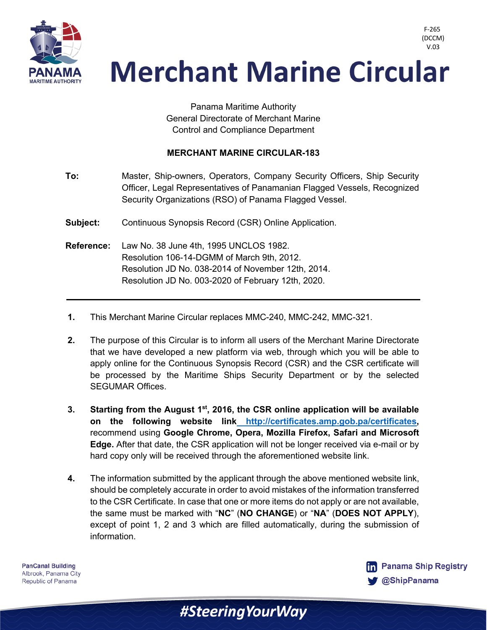

> Panama Maritime Authority General Directorate of Merchant Marine Control and Compliance Department

#### **MERCHANT MARINE CIRCULAR-183**

| To:      | Master, Ship-owners, Operators, Company Security Officers, Ship Security |  |  |  |  |
|----------|--------------------------------------------------------------------------|--|--|--|--|
|          | Officer, Legal Representatives of Panamanian Flagged Vessels, Recognized |  |  |  |  |
|          | Security Organizations (RSO) of Panama Flagged Vessel.                   |  |  |  |  |
| Subject: | Continuous Synopsis Record (CSR) Online Application.                     |  |  |  |  |

- **Reference:** Law No. 38 June 4th, 1995 UNCLOS 1982. Resolution 106-14-DGMM of March 9th, 2012. Resolution JD No. 038-2014 of November 12th, 2014. Resolution JD No. 003-2020 of February 12th, 2020.
- **1.** This Merchant Marine Circular replaces MMC-240, MMC-242, MMC-321.
- **2.** The purpose of this Circular is to inform all users of the Merchant Marine Directorate that we have developed a new platform via web, through which you will be able to apply online for the Continuous Synopsis Record (CSR) and the CSR certificate will be processed by the Maritime Ships Security Department or by the selected SEGUMAR Offices.
- **3. Starting from the August 1st, 2016, the CSR online application will be available on the following website link http://certificates.amp.gob.pa/certificates,**  recommend using **Google Chrome, Opera, Mozilla Firefox, Safari and Microsoft Edge.** After that date, the CSR application will not be longer received via e-mail or by hard copy only will be received through the aforementioned website link.
- **4.** The information submitted by the applicant through the above mentioned website link, should be completely accurate in order to avoid mistakes of the information transferred to the CSR Certificate. In case that one or more items do not apply or are not available, the same must be marked with "**NC**" (**NO CHANGE**) or "**NA**" (**DOES NOT APPLY**), except of point 1, 2 and 3 which are filled automatically, during the submission of information.

**PanCanal Building** Albrook, Panama City Republic of Panama



F-265 (DCCM)

#Steering Your Way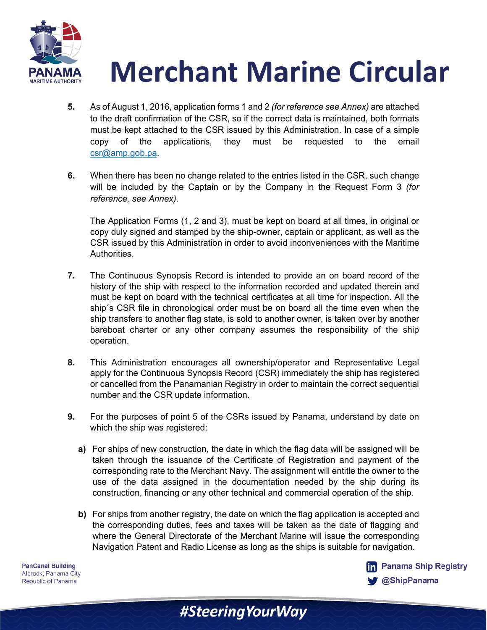

- **5.** As of August 1, 2016, application forms 1 and 2 *(for reference see Annex)* are attached to the draft confirmation of the CSR, so if the correct data is maintained, both formats must be kept attached to the CSR issued by this Administration. In case of a simple copy of the applications, they must be requested to the email csr@amp.gob.pa.
- **6.** When there has been no change related to the entries listed in the CSR, such change will be included by the Captain or by the Company in the Request Form 3 *(for reference, see Annex).*

The Application Forms (1, 2 and 3), must be kept on board at all times, in original or copy duly signed and stamped by the ship-owner, captain or applicant, as well as the CSR issued by this Administration in order to avoid inconveniences with the Maritime Authorities.

- **7.** The Continuous Synopsis Record is intended to provide an on board record of the history of the ship with respect to the information recorded and updated therein and must be kept on board with the technical certificates at all time for inspection. All the ship´s CSR file in chronological order must be on board all the time even when the ship transfers to another flag state, is sold to another owner, is taken over by another bareboat charter or any other company assumes the responsibility of the ship operation.
- **8.** This Administration encourages all ownership/operator and Representative Legal apply for the Continuous Synopsis Record (CSR) immediately the ship has registered or cancelled from the Panamanian Registry in order to maintain the correct sequential number and the CSR update information.
- **9.** For the purposes of point 5 of the CSRs issued by Panama, understand by date on which the ship was registered:
	- **a)** For ships of new construction, the date in which the flag data will be assigned will be taken through the issuance of the Certificate of Registration and payment of the corresponding rate to the Merchant Navy. The assignment will entitle the owner to the use of the data assigned in the documentation needed by the ship during its construction, financing or any other technical and commercial operation of the ship.
	- **b)** For ships from another registry, the date on which the flag application is accepted and the corresponding duties, fees and taxes will be taken as the date of flagging and where the General Directorate of the Merchant Marine will issue the corresponding Navigation Patent and Radio License as long as the ships is suitable for navigation.

#SteeringYourWay

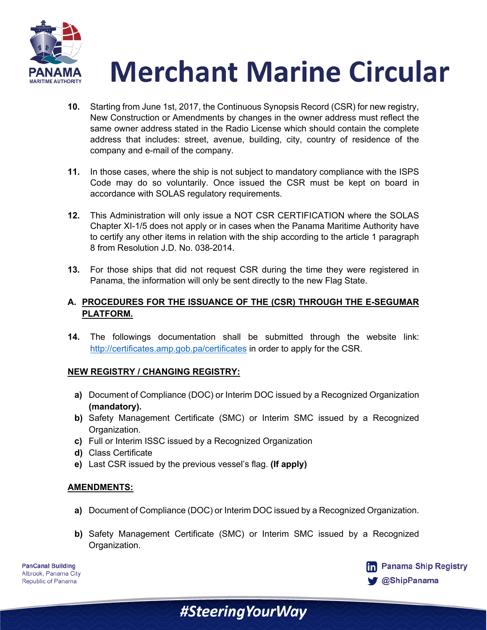

- **10.** Starting from June 1st, 2017, the Continuous Synopsis Record (CSR) for new registry, New Construction or Amendments by changes in the owner address must reflect the same owner address stated in the Radio License which should contain the complete address that includes: street, avenue, building, city, country of residence of the company and e-mail of the company.
- **11.** In those cases, where the ship is not subject to mandatory compliance with the ISPS Code may do so voluntarily. Once issued the CSR must be kept on board in accordance with SOLAS regulatory requirements.
- **12.** This Administration will only issue a NOT CSR CERTIFICATION where the SOLAS Chapter XI-1/5 does not apply or in cases when the Panama Maritime Authority have to certify any other items in relation with the ship according to the article 1 paragraph 8 from Resolution J.D. No. 038-2014.
- **13.** For those ships that did not request CSR during the time they were registered in Panama, the information will only be sent directly to the new Flag State.

### **A. PROCEDURES FOR THE ISSUANCE OF THE (CSR) THROUGH THE E-SEGUMAR PLATFORM.**

**14.** The followings documentation shall be submitted through the website link: http://certificates.amp.gob.pa/certificates in order to apply for the CSR.

#### **NEW REGISTRY / CHANGING REGISTRY:**

- **a)** Document of Compliance (DOC) or Interim DOC issued by a Recognized Organization **(mandatory).**
- **b)** Safety Management Certificate (SMC) or Interim SMC issued by a Recognized Organization.
- **c)** Full or Interim ISSC issued by a Recognized Organization
- **d)** Class Certificate
- **e)** Last CSR issued by the previous vessel's flag. **(If apply)**

#### **AMENDMENTS:**

- **a)** Document of Compliance (DOC) or Interim DOC issued by a Recognized Organization.
- **b)** Safety Management Certificate (SMC) or Interim SMC issued by a Recognized Organization.

#SteeringYourWay

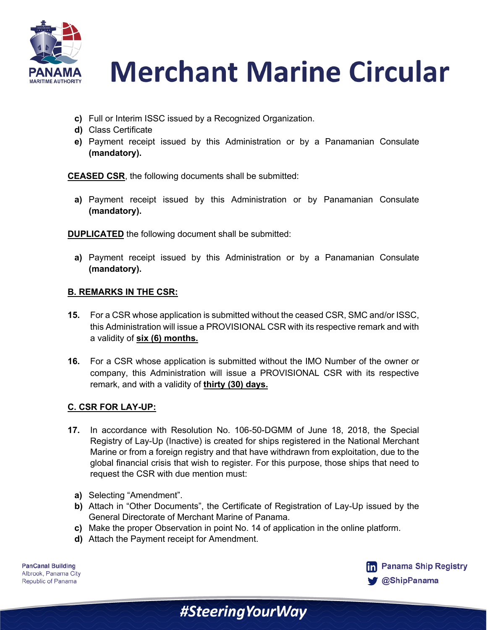

- **c)** Full or Interim ISSC issued by a Recognized Organization.
- **d)** Class Certificate
- **e)** Payment receipt issued by this Administration or by a Panamanian Consulate **(mandatory).**

**CEASED CSR**, the following documents shall be submitted:

**a)** Payment receipt issued by this Administration or by Panamanian Consulate **(mandatory).**

**DUPLICATED** the following document shall be submitted:

**a)** Payment receipt issued by this Administration or by a Panamanian Consulate **(mandatory).**

## **B. REMARKS IN THE CSR:**

- **15.** For a CSR whose application is submitted without the ceased CSR, SMC and/or ISSC, this Administration will issue a PROVISIONAL CSR with its respective remark and with a validity of **six (6) months.**
- **16.** For a CSR whose application is submitted without the IMO Number of the owner or company, this Administration will issue a PROVISIONAL CSR with its respective remark, and with a validity of **thirty (30) days.**

#### **C. CSR FOR LAY-UP:**

- **17.** In accordance with Resolution No. 106-50-DGMM of June 18, 2018, the Special Registry of Lay-Up (Inactive) is created for ships registered in the National Merchant Marine or from a foreign registry and that have withdrawn from exploitation, due to the global financial crisis that wish to register. For this purpose, those ships that need to request the CSR with due mention must:
	- **a)** Selecting "Amendment".
	- **b)** Attach in "Other Documents", the Certificate of Registration of Lay-Up issued by the General Directorate of Merchant Marine of Panama.
	- **c)** Make the proper Observation in point No. 14 of application in the online platform.

#SteeringYourWay

**d)** Attach the Payment receipt for Amendment.

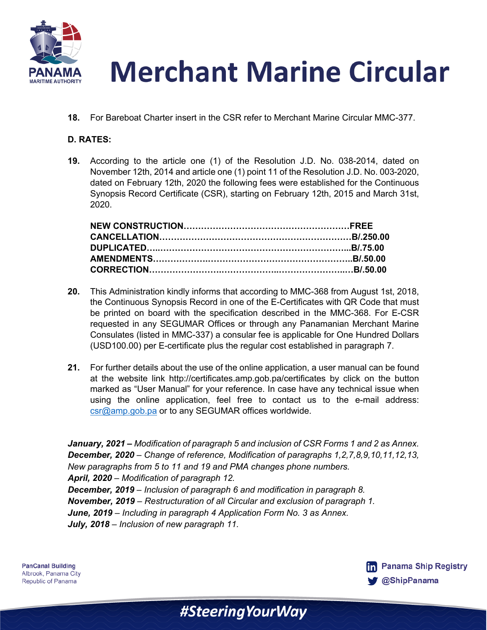

**18.** For Bareboat Charter insert in the CSR refer to Merchant Marine Circular MMC-377.

# **D. RATES:**

**19.** According to the article one (1) of the Resolution J.D. No. 038-2014, dated on November 12th, 2014 and article one (1) point 11 of the Resolution J.D. No. 003-2020, dated on February 12th, 2020 the following fees were established for the Continuous Synopsis Record Certificate (CSR), starting on February 12th, 2015 and March 31st, 2020.

- **20.** This Administration kindly informs that according to MMC-368 from August 1st, 2018, the Continuous Synopsis Record in one of the E-Certificates with QR Code that must be printed on board with the specification described in the MMC-368. For E-CSR requested in any SEGUMAR Offices or through any Panamanian Merchant Marine Consulates (listed in MMC-337) a consular fee is applicable for One Hundred Dollars (USD100.00) per E-certificate plus the regular cost established in paragraph 7.
- **21.** For further details about the use of the online application, a user manual can be found at the website link http://certificates.amp.gob.pa/certificates by click on the button marked as "User Manual" for your reference. In case have any technical issue when using the online application, feel free to contact us to the e-mail address: csr@amp.gob.pa or to any SEGUMAR offices worldwide.

*January, 2021 – Modification of paragraph 5 and inclusion of CSR Forms 1 and 2 as Annex. December, 2020 – Change of reference, Modification of paragraphs 1,2,7,8,9,10,11,12,13, New paragraphs from 5 to 11 and 19 and PMA changes phone numbers. April, 2020 – Modification of paragraph 12. December, 2019 – Inclusion of paragraph 6 and modification in paragraph 8. November, 2019 – Restructuration of all Circular and exclusion of paragraph 1. June, 2019 – Including in paragraph 4 Application Form No. 3 as Annex. July, 2018 – Inclusion of new paragraph 11.*

#SteeringYourWay

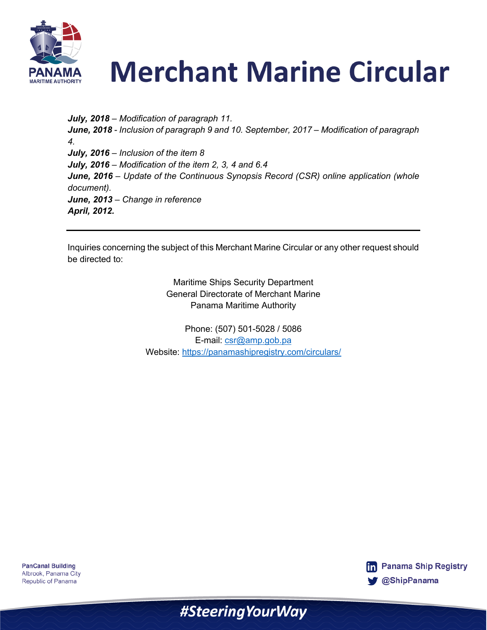

*July, 2018 – Modification of paragraph 11. June, 2018 - Inclusion of paragraph 9 and 10. September, 2017 – Modification of paragraph 4. July, 2016 – Inclusion of the item 8 July, 2016 – Modification of the item 2, 3, 4 and 6.4 June, 2016 – Update of the Continuous Synopsis Record (CSR) online application (whole document). June, 2013 – Change in reference April, 2012.*

Inquiries concerning the subject of this Merchant Marine Circular or any other request should be directed to:

> Maritime Ships Security Department General Directorate of Merchant Marine Panama Maritime Authority

Phone: (507) 501-5028 / 5086 E-mail: csr@amp.gob.pa Website: https://panamashipregistry.com/circulars/

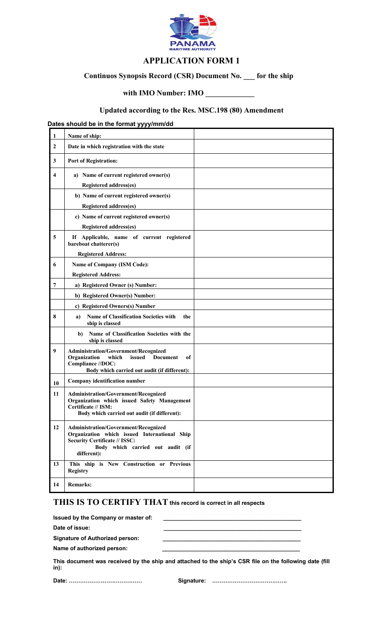

# **APPLICATION FORM 1**

# **Continuos Synopsis Record (CSR) Document No. \_\_\_ for the ship**

# **with IMO Number: IMO \_\_\_\_\_\_\_\_\_\_\_\_\_**

# **Updated according to the Res. MSC.198 (80) Amendment**

# **Dates should be in the format yyyy/mm/dd**

| $\mathbf{1}$ | Name of ship:                                                                                                                                                                   |  |
|--------------|---------------------------------------------------------------------------------------------------------------------------------------------------------------------------------|--|
| 2            | Date in which registration with the state                                                                                                                                       |  |
| 3            | <b>Port of Registration:</b>                                                                                                                                                    |  |
| 4            | a) Name of current registered owner(s)                                                                                                                                          |  |
|              | <b>Registered address(es)</b>                                                                                                                                                   |  |
|              | b) Name of current registered owner(s)                                                                                                                                          |  |
|              | Registered address(es)                                                                                                                                                          |  |
|              | c) Name of current registered owner(s)                                                                                                                                          |  |
|              | Registered address(es)                                                                                                                                                          |  |
| 5            | If Applicable, name of current registered<br>bareboat chatterer(s)                                                                                                              |  |
|              | <b>Registered Address:</b>                                                                                                                                                      |  |
| 6            | <b>Name of Company (ISM Code):</b>                                                                                                                                              |  |
|              | <b>Registered Address:</b>                                                                                                                                                      |  |
| 7            | a) Registered Owner (s) Number:                                                                                                                                                 |  |
|              | b) Registered Owner(s) Number:                                                                                                                                                  |  |
|              | c) Registered Owners(s) Number                                                                                                                                                  |  |
| 8            | <b>Name of Classification Societies with</b><br>the<br>a)<br>ship is classed                                                                                                    |  |
|              | Name of Classification Societies with the<br>b)<br>ship is classed                                                                                                              |  |
| 9            | Administration/Government/Recognized<br>Organization<br>which<br>issued<br><b>Document</b><br>of<br>Compliance //DOC:<br>Body which carried out audit (if different):           |  |
| 10           | Company identification number                                                                                                                                                   |  |
| 11           | Administration/Government/Recognized<br>Organization which issued Safety Management<br>Certificate // ISM:<br>Body which carried out audit (if different):                      |  |
| 12           | Administration/Government/Recognized<br>Organization which issued International Ship<br><b>Security Certificate // ISSC:</b><br>Body which carried out audit (if<br>different): |  |
| 13           | This ship is New Construction or Previous<br><b>Registry</b>                                                                                                                    |  |
| 14           | <b>Remarks:</b>                                                                                                                                                                 |  |

# **THIS IS TO CERTIFY THAT this record is correct in all respects**

| Issued by the Company or master of:    |                                                                                                                                                                                                                                   |
|----------------------------------------|-----------------------------------------------------------------------------------------------------------------------------------------------------------------------------------------------------------------------------------|
| Date of issue:                         |                                                                                                                                                                                                                                   |
| <b>Signature of Authorized person:</b> |                                                                                                                                                                                                                                   |
| Name of authorized person:             |                                                                                                                                                                                                                                   |
|                                        | $\mathbf{r}$ , and the contract of the contract of the contract of the contract of the contract of the contract of the contract of the contract of the contract of the contract of the contract of the contract of the contract o |

|      |  |  |  | This document was received by the ship and attached to the ship's CSR file on the following date (fill |
|------|--|--|--|--------------------------------------------------------------------------------------------------------|
| in): |  |  |  |                                                                                                        |
|      |  |  |  |                                                                                                        |

**Date: ………………………………… Signature: ………………………………….**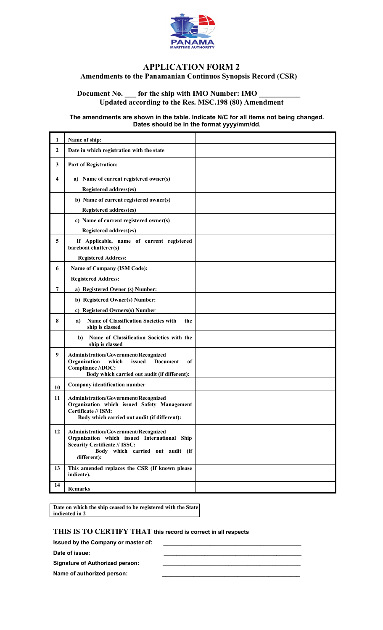

## **APPLICATION FORM 2 Amendments to the Panamanian Continuos Synopsis Record (CSR)**

## Document No. \_\_\_\_ for the ship with IMO Number: IMO \_ **Updated according to the Res. MSC.198 (80) Amendment**

#### **The amendments are shown in the table. Indicate N/C for all items not being changed. Dates should be in the format yyyy/mm/dd.**

| 1              | Name of ship:                                                                                                                                                                   |  |
|----------------|---------------------------------------------------------------------------------------------------------------------------------------------------------------------------------|--|
| $\overline{2}$ | Date in which registration with the state                                                                                                                                       |  |
| 3              | <b>Port of Registration:</b>                                                                                                                                                    |  |
| 4              | a) Name of current registered owner(s)                                                                                                                                          |  |
|                | Registered address(es)                                                                                                                                                          |  |
|                | b) Name of current registered owner(s)                                                                                                                                          |  |
|                | <b>Registered address(es)</b>                                                                                                                                                   |  |
|                | c) Name of current registered owner(s)                                                                                                                                          |  |
|                | Registered address(es)                                                                                                                                                          |  |
| 5              | If Applicable, name of current registered<br>bareboat chatterer(s)                                                                                                              |  |
|                | <b>Registered Address:</b>                                                                                                                                                      |  |
| 6              | <b>Name of Company (ISM Code):</b>                                                                                                                                              |  |
|                | <b>Registered Address:</b>                                                                                                                                                      |  |
| 7              | a) Registered Owner (s) Number:                                                                                                                                                 |  |
|                | b) Registered Owner(s) Number:                                                                                                                                                  |  |
|                | c) Registered Owners(s) Number                                                                                                                                                  |  |
| 8              | Name of Classification Societies with<br>the<br>a)<br>ship is classed                                                                                                           |  |
|                | Name of Classification Societies with the<br>b)<br>ship is classed                                                                                                              |  |
| 9              | Administration/Government/Recognized<br>Organization<br>issued<br><b>Document</b><br>which<br>of<br>Compliance //DOC:<br>Body which carried out audit (if different):           |  |
| 10             | Company identification number                                                                                                                                                   |  |
| 11             | Administration/Government/Recognized<br>Organization which issued Safety Management<br>Certificate // ISM:<br>Body which carried out audit (if different):                      |  |
| 12             | Administration/Government/Recognized<br>Organization which issued International Ship<br><b>Security Certificate // ISSC:</b><br>Body which carried out audit (if<br>different): |  |
| 13             | This amended replaces the CSR (If known please<br>indicate).                                                                                                                    |  |
| 14             | <b>Remarks</b>                                                                                                                                                                  |  |

**Date on which the ship ceased to be registered with the State indicated in 2**

## **THIS IS TO CERTIFY THAT this record is correct in all respects**

**Issued by the Company or master of:** Date of issue: Signature of Authorized person:

Name of authorized person: